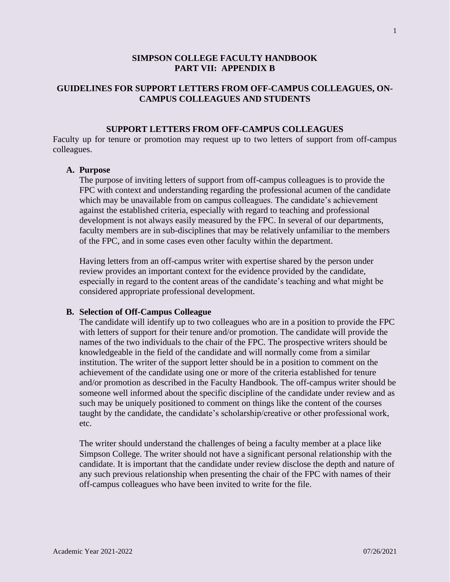# **SIMPSON COLLEGE FACULTY HANDBOOK PART VII: APPENDIX B**

# **GUIDELINES FOR SUPPORT LETTERS FROM OFF-CAMPUS COLLEAGUES, ON-CAMPUS COLLEAGUES AND STUDENTS**

## **SUPPORT LETTERS FROM OFF-CAMPUS COLLEAGUES**

Faculty up for tenure or promotion may request up to two letters of support from off-campus colleagues.

### **A. Purpose**

The purpose of inviting letters of support from off-campus colleagues is to provide the FPC with context and understanding regarding the professional acumen of the candidate which may be unavailable from on campus colleagues. The candidate's achievement against the established criteria, especially with regard to teaching and professional development is not always easily measured by the FPC. In several of our departments, faculty members are in sub-disciplines that may be relatively unfamiliar to the members of the FPC, and in some cases even other faculty within the department.

Having letters from an off-campus writer with expertise shared by the person under review provides an important context for the evidence provided by the candidate, especially in regard to the content areas of the candidate's teaching and what might be considered appropriate professional development.

#### **B. Selection of Off-Campus Colleague**

The candidate will identify up to two colleagues who are in a position to provide the FPC with letters of support for their tenure and/or promotion. The candidate will provide the names of the two individuals to the chair of the FPC. The prospective writers should be knowledgeable in the field of the candidate and will normally come from a similar institution. The writer of the support letter should be in a position to comment on the achievement of the candidate using one or more of the criteria established for tenure and/or promotion as described in the Faculty Handbook. The off-campus writer should be someone well informed about the specific discipline of the candidate under review and as such may be uniquely positioned to comment on things like the content of the courses taught by the candidate, the candidate's scholarship/creative or other professional work, etc.

The writer should understand the challenges of being a faculty member at a place like Simpson College. The writer should not have a significant personal relationship with the candidate. It is important that the candidate under review disclose the depth and nature of any such previous relationship when presenting the chair of the FPC with names of their off-campus colleagues who have been invited to write for the file.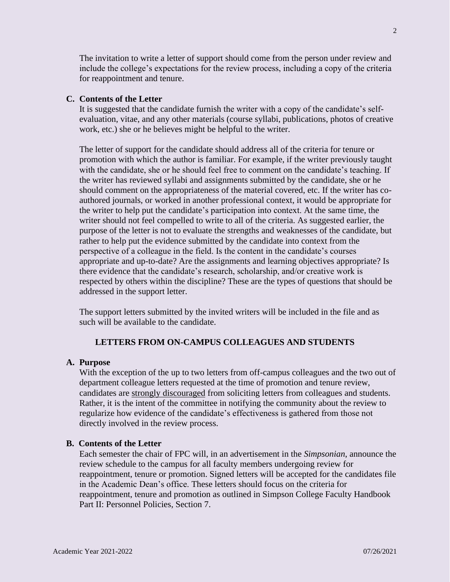The invitation to write a letter of support should come from the person under review and include the college's expectations for the review process, including a copy of the criteria for reappointment and tenure.

## **C. Contents of the Letter**

It is suggested that the candidate furnish the writer with a copy of the candidate's selfevaluation, vitae, and any other materials (course syllabi, publications, photos of creative work, etc.) she or he believes might be helpful to the writer.

The letter of support for the candidate should address all of the criteria for tenure or promotion with which the author is familiar. For example, if the writer previously taught with the candidate, she or he should feel free to comment on the candidate's teaching. If the writer has reviewed syllabi and assignments submitted by the candidate, she or he should comment on the appropriateness of the material covered, etc. If the writer has coauthored journals, or worked in another professional context, it would be appropriate for the writer to help put the candidate's participation into context. At the same time, the writer should not feel compelled to write to all of the criteria. As suggested earlier, the purpose of the letter is not to evaluate the strengths and weaknesses of the candidate, but rather to help put the evidence submitted by the candidate into context from the perspective of a colleague in the field. Is the content in the candidate's courses appropriate and up-to-date? Are the assignments and learning objectives appropriate? Is there evidence that the candidate's research, scholarship, and/or creative work is respected by others within the discipline? These are the types of questions that should be addressed in the support letter.

The support letters submitted by the invited writers will be included in the file and as such will be available to the candidate.

### **LETTERS FROM ON-CAMPUS COLLEAGUES AND STUDENTS**

#### **A. Purpose**

With the exception of the up to two letters from off-campus colleagues and the two out of department colleague letters requested at the time of promotion and tenure review, candidates are strongly discouraged from soliciting letters from colleagues and students. Rather, it is the intent of the committee in notifying the community about the review to regularize how evidence of the candidate's effectiveness is gathered from those not directly involved in the review process.

#### **B. Contents of the Letter**

Each semester the chair of FPC will, in an advertisement in the *Simpsonian*, announce the review schedule to the campus for all faculty members undergoing review for reappointment, tenure or promotion. Signed letters will be accepted for the candidates file in the Academic Dean's office. These letters should focus on the criteria for reappointment, tenure and promotion as outlined in Simpson College Faculty Handbook Part II: Personnel Policies, Section 7.